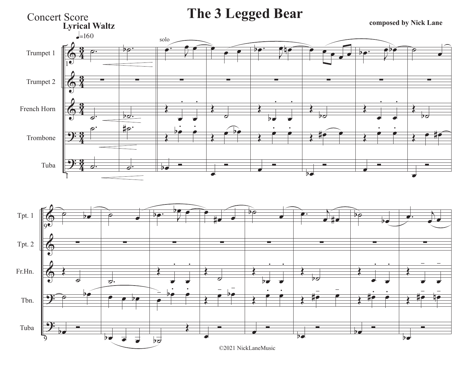

## ©2021 NickLaneMusic